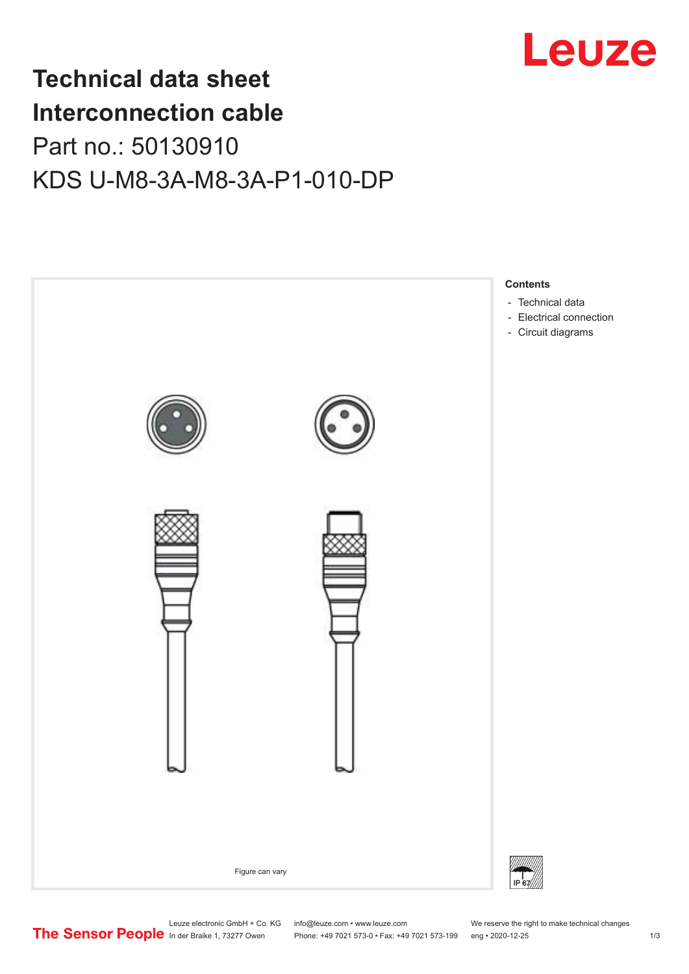

## **Technical data sheet Interconnection cable** Part no.: 50130910 KDS U-M8-3A-M8-3A-P1-010-DP



Leuze electronic GmbH + Co. KG info@leuze.com • www.leuze.com We reserve the right to make technical changes<br>
The Sensor People in der Braike 1, 73277 Owen Phone: +49 7021 573-0 • Fax: +49 7021 573-199 eng • 2020-12-25

Phone: +49 7021 573-0 • Fax: +49 7021 573-199 eng • 2020-12-25 1 2020-12-25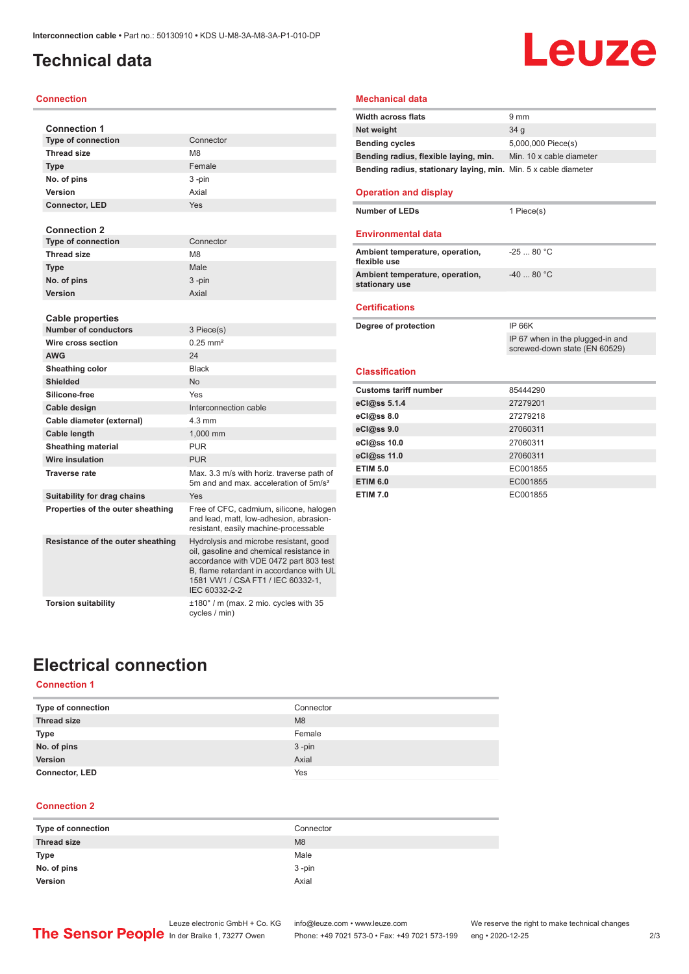### <span id="page-1-0"></span>**Technical data**

#### **Connection**

| <b>Connection 1</b>               |                                                                                                                                                                                                                                |
|-----------------------------------|--------------------------------------------------------------------------------------------------------------------------------------------------------------------------------------------------------------------------------|
| <b>Type of connection</b>         | Connector                                                                                                                                                                                                                      |
| <b>Thread size</b>                | M <sub>8</sub>                                                                                                                                                                                                                 |
| <b>Type</b>                       | Female                                                                                                                                                                                                                         |
| No. of pins                       | $3 - pin$                                                                                                                                                                                                                      |
| Version                           | Axial                                                                                                                                                                                                                          |
| <b>Connector, LED</b>             | Yes                                                                                                                                                                                                                            |
| <b>Connection 2</b>               |                                                                                                                                                                                                                                |
| <b>Type of connection</b>         | Connector                                                                                                                                                                                                                      |
| <b>Thread size</b>                | M <sub>8</sub>                                                                                                                                                                                                                 |
| <b>Type</b>                       | Male                                                                                                                                                                                                                           |
| No. of pins                       | 3-pin                                                                                                                                                                                                                          |
| Version                           | Axial                                                                                                                                                                                                                          |
| <b>Cable properties</b>           |                                                                                                                                                                                                                                |
| <b>Number of conductors</b>       | 3 Piece(s)                                                                                                                                                                                                                     |
| Wire cross section                | $0.25$ mm <sup>2</sup>                                                                                                                                                                                                         |
| <b>AWG</b>                        | 24                                                                                                                                                                                                                             |
| Sheathing color                   | <b>Black</b>                                                                                                                                                                                                                   |
| <b>Shielded</b>                   | <b>No</b>                                                                                                                                                                                                                      |
| Silicone-free                     | Yes                                                                                                                                                                                                                            |
| Cable design                      | Interconnection cable                                                                                                                                                                                                          |
| Cable diameter (external)         | $4.3 \text{ mm}$                                                                                                                                                                                                               |
| Cable length                      | 1.000 mm                                                                                                                                                                                                                       |
| <b>Sheathing material</b>         | <b>PUR</b>                                                                                                                                                                                                                     |
| <b>Wire insulation</b>            | <b>PUR</b>                                                                                                                                                                                                                     |
| <b>Traverse rate</b>              | Max. 3.3 m/s with horiz. traverse path of<br>5m and and max, acceleration of 5m/s <sup>2</sup>                                                                                                                                 |
| Suitability for drag chains       | Yes                                                                                                                                                                                                                            |
| Properties of the outer sheathing | Free of CFC, cadmium, silicone, halogen<br>and lead, matt, low-adhesion, abrasion-<br>resistant, easily machine-processable                                                                                                    |
| Resistance of the outer sheathing | Hydrolysis and microbe resistant, good<br>oil, gasoline and chemical resistance in<br>accordance with VDE 0472 part 803 test<br>B, flame retardant in accordance with UL<br>1581 VW1 / CSA FT1 / IEC 60332-1,<br>IEC 60332-2-2 |
| <b>Torsion suitability</b>        | ±180° / m (max. 2 mio. cycles with 35<br>cycles / min)                                                                                                                                                                         |

# Leuze

#### **Mechanical data**

| $9 \text{ mm}$                                                  |
|-----------------------------------------------------------------|
| 34 <sub>q</sub>                                                 |
| 5,000,000 Piece(s)                                              |
| Min. 10 x cable diameter                                        |
| Bending radius, stationary laying, min. Min. 5 x cable diameter |
|                                                                 |

#### **Operation and display**

**Number of LEDs** 1 Piece(s)

#### **Environmental data**

| Ambient temperature, operation,<br>flexible use   | $-2580 °C$ |
|---------------------------------------------------|------------|
| Ambient temperature, operation,<br>stationary use | $-4080 °C$ |

#### **Certifications**

| Degree of protection         | <b>IP 66K</b>                                                     |
|------------------------------|-------------------------------------------------------------------|
|                              | IP 67 when in the plugged-in and<br>screwed-down state (EN 60529) |
|                              |                                                                   |
| <b>Classification</b>        |                                                                   |
| <b>Customs tariff number</b> | 85444290                                                          |
| eCl@ss 5.1.4                 | 27279201                                                          |
| eC <sub>1</sub> @ss 8.0      | 27279218                                                          |
| $eC$ <sub>l</sub> $@ss$ 9.0  | 27060311                                                          |
| eCl@ss 10.0                  | 27060311                                                          |
| eCl@ss 11.0                  | 27060311                                                          |
| <b>ETIM 5.0</b>              | EC001855                                                          |
| <b>ETIM 6.0</b>              | EC001855                                                          |
| <b>ETIM 7.0</b>              | EC001855                                                          |

## **Electrical connection**

#### **Connection 1**

| Type of connection    | Connector |
|-----------------------|-----------|
| <b>Thread size</b>    | M8        |
| <b>Type</b>           | Female    |
| No. of pins           | $3 - pin$ |
| Version               | Axial     |
| <b>Connector, LED</b> | Yes       |

#### **Connection 2**

| Type of connection | Connector |
|--------------------|-----------|
| <b>Thread size</b> | M8        |
| Type               | Male      |
| No. of pins        | $3 - pin$ |
| Version            | Axial     |